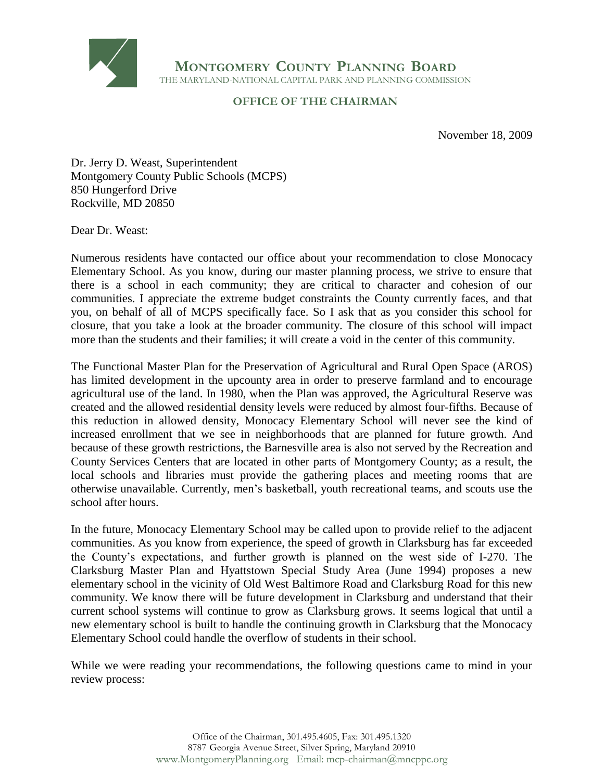

**MONTGOMERY COUNTY PLANNING BOARD** THE MARYLAND-NATIONAL CAPITAL PARK AND PLANNING COMMISSION

## **OFFICE OF THE CHAIRMAN**

November 18, 2009

Dr. Jerry D. Weast, Superintendent Montgomery County Public Schools (MCPS) 850 Hungerford Drive Rockville, MD 20850

Dear Dr. Weast:

Numerous residents have contacted our office about your recommendation to close Monocacy Elementary School. As you know, during our master planning process, we strive to ensure that there is a school in each community; they are critical to character and cohesion of our communities. I appreciate the extreme budget constraints the County currently faces, and that you, on behalf of all of MCPS specifically face. So I ask that as you consider this school for closure, that you take a look at the broader community. The closure of this school will impact more than the students and their families; it will create a void in the center of this community.

The Functional Master Plan for the Preservation of Agricultural and Rural Open Space (AROS) has limited development in the upcounty area in order to preserve farmland and to encourage agricultural use of the land. In 1980, when the Plan was approved, the Agricultural Reserve was created and the allowed residential density levels were reduced by almost four-fifths. Because of this reduction in allowed density, Monocacy Elementary School will never see the kind of increased enrollment that we see in neighborhoods that are planned for future growth. And because of these growth restrictions, the Barnesville area is also not served by the Recreation and County Services Centers that are located in other parts of Montgomery County; as a result, the local schools and libraries must provide the gathering places and meeting rooms that are otherwise unavailable. Currently, men's basketball, youth recreational teams, and scouts use the school after hours.

In the future, Monocacy Elementary School may be called upon to provide relief to the adjacent communities. As you know from experience, the speed of growth in Clarksburg has far exceeded the County's expectations, and further growth is planned on the west side of I-270. The Clarksburg Master Plan and Hyattstown Special Study Area (June 1994) proposes a new elementary school in the vicinity of Old West Baltimore Road and Clarksburg Road for this new community. We know there will be future development in Clarksburg and understand that their current school systems will continue to grow as Clarksburg grows. It seems logical that until a new elementary school is built to handle the continuing growth in Clarksburg that the Monocacy Elementary School could handle the overflow of students in their school.

While we were reading your recommendations, the following questions came to mind in your review process: